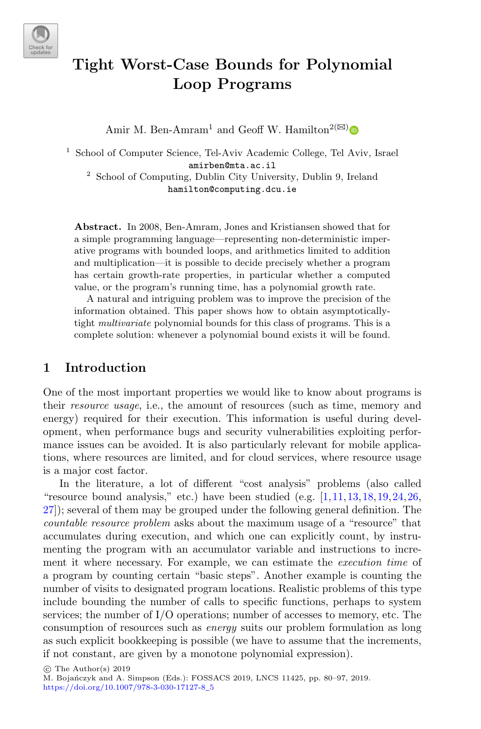

# **Tight Worst-Case Bounds for Polynomial Loop Programs**

Amir M. Ben-Amram<sup>1</sup> and Geoff W. Hamilton<sup>2( $\boxtimes$ [\)](http://orcid.org/0000-0001-5954-6444)</sup>

<sup>1</sup> School of Computer Science, Tel-Aviv Academic College, Tel Aviv, Israel amirben@mta.ac.il

<sup>2</sup> School of Computing, Dublin City University, Dublin 9, Ireland hamilton@computing.dcu.ie

**Abstract.** In 2008, Ben-Amram, Jones and Kristiansen showed that for a simple programming language—representing non-deterministic imperative programs with bounded loops, and arithmetics limited to addition and multiplication—it is possible to decide precisely whether a program has certain growth-rate properties, in particular whether a computed value, or the program's running time, has a polynomial growth rate.

A natural and intriguing problem was to improve the precision of the information obtained. This paper shows how to obtain asymptoticallytight *multivariate* polynomial bounds for this class of programs. This is a complete solution: whenever a polynomial bound exists it will be found.

# **1 Introduction**

One of the most important properties we would like to know about programs is their *resource usage*, i.e., the amount of resources (such as time, memory and energy) required for their execution. This information is useful during development, when performance bugs and security vulnerabilities exploiting performance issues can be avoided. It is also particularly relevant for mobile applications, where resources are limited, and for cloud services, where resource usage is a major cost factor.

In the literature, a lot of different "cost analysis" problems (also called "resource bound analysis," etc.) have been studied (e.g.  $[1,11,13,18,19,24,26,1]$  $[1,11,13,18,19,24,26,1]$  $[1,11,13,18,19,24,26,1]$  $[1,11,13,18,19,24,26,1]$  $[1,11,13,18,19,24,26,1]$  $[1,11,13,18,19,24,26,1]$  $[1,11,13,18,19,24,26,1]$  $[1,11,13,18,19,24,26,1]$  $[1,11,13,18,19,24,26,1]$  $[1,11,13,18,19,24,26,1]$ [27](#page-16-5)]); several of them may be grouped under the following general definition. The *countable resource problem* asks about the maximum usage of a "resource" that accumulates during execution, and which one can explicitly count, by instrumenting the program with an accumulator variable and instructions to increment it where necessary. For example, we can estimate the *execution time* of a program by counting certain "basic steps". Another example is counting the number of visits to designated program locations. Realistic problems of this type include bounding the number of calls to specific functions, perhaps to system services; the number of I/O operations; number of accesses to memory, etc. The consumption of resources such as *energy* suits our problem formulation as long as such explicit bookkeeping is possible (we have to assume that the increments, if not constant, are given by a monotone polynomial expression).

-c The Author(s) 2019

M. Bojańczyk and A. Simpson (Eds.): FOSSACS 2019, LNCS 11425, pp. 80–97, 2019. [https://doi.org/10.1007/978-3-030-17127-8](https://doi.org/10.1007/978-3-030-17127-8_5)\_5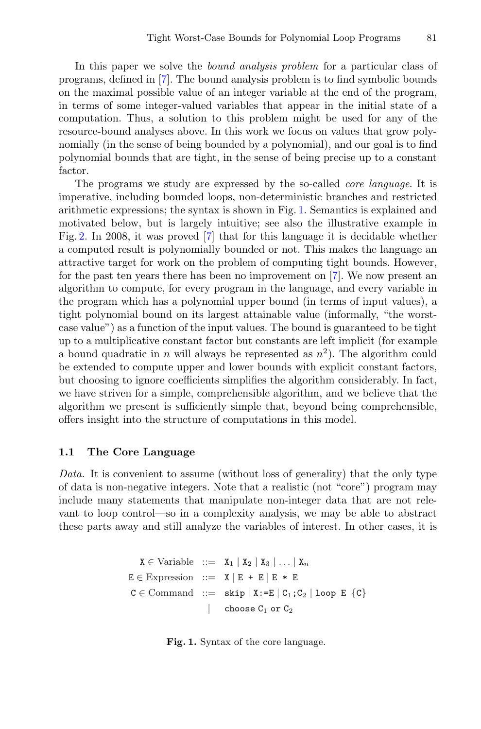In this paper we solve the *bound analysis problem* for a particular class of programs, defined in [\[7](#page-15-2)]. The bound analysis problem is to find symbolic bounds on the maximal possible value of an integer variable at the end of the program, in terms of some integer-valued variables that appear in the initial state of a computation. Thus, a solution to this problem might be used for any of the resource-bound analyses above. In this work we focus on values that grow polynomially (in the sense of being bounded by a polynomial), and our goal is to find polynomial bounds that are tight, in the sense of being precise up to a constant factor.

The programs we study are expressed by the so-called *core language*. It is imperative, including bounded loops, non-deterministic branches and restricted arithmetic expressions; the syntax is shown in Fig. [1.](#page-1-0) Semantics is explained and motivated below, but is largely intuitive; see also the illustrative example in Fig. [2.](#page-2-0) In 2008, it was proved [\[7\]](#page-15-2) that for this language it is decidable whether a computed result is polynomially bounded or not. This makes the language an attractive target for work on the problem of computing tight bounds. However, for the past ten years there has been no improvement on [\[7\]](#page-15-2). We now present an algorithm to compute, for every program in the language, and every variable in the program which has a polynomial upper bound (in terms of input values), a tight polynomial bound on its largest attainable value (informally, "the worstcase value") as a function of the input values. The bound is guaranteed to be tight up to a multiplicative constant factor but constants are left implicit (for example a bound quadratic in n will always be represented as  $n^2$ ). The algorithm could be extended to compute upper and lower bounds with explicit constant factors, but choosing to ignore coefficients simplifies the algorithm considerably. In fact, we have striven for a simple, comprehensible algorithm, and we believe that the algorithm we present is sufficiently simple that, beyond being comprehensible, offers insight into the structure of computations in this model.

#### **1.1 The Core Language**

*Data.* It is convenient to assume (without loss of generality) that the only type of data is non-negative integers. Note that a realistic (not "core") program may include many statements that manipulate non-integer data that are not relevant to loop control—so in a complexity analysis, we may be able to abstract these parts away and still analyze the variables of interest. In other cases, it is

$$
X \in \text{Variable} \ ::= X_1 \mid X_2 \mid X_3 \mid \dots \mid X_n
$$
  
\n
$$
E \in \text{Expression} \ ::= X \mid E + E \mid E * E
$$
  
\n
$$
C \in \text{Command} \ ::= \text{skip} \mid X := E \mid C_1; C_2 \mid \text{loop } E \{C\}
$$
  
\n
$$
\mid \text{choose } C_1 \text{ or } C_2
$$

<span id="page-1-0"></span>**Fig. 1.** Syntax of the core language.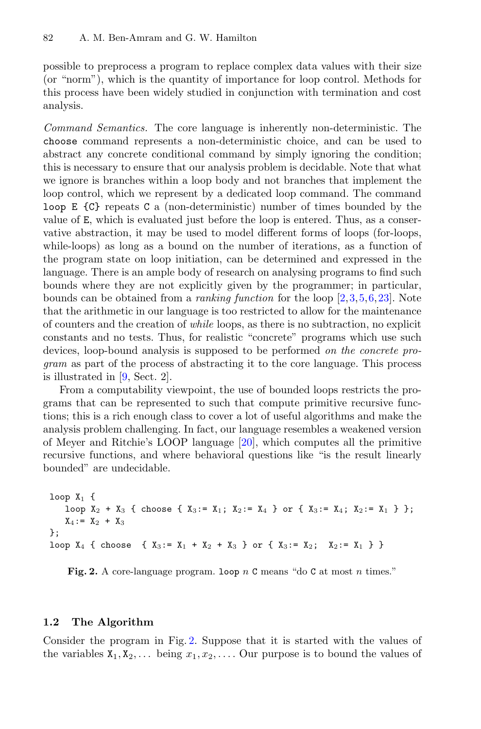possible to preprocess a program to replace complex data values with their size (or "norm"), which is the quantity of importance for loop control. Methods for this process have been widely studied in conjunction with termination and cost analysis.

*Command Semantics.* The core language is inherently non-deterministic. The choose command represents a non-deterministic choice, and can be used to abstract any concrete conditional command by simply ignoring the condition; this is necessary to ensure that our analysis problem is decidable. Note that what we ignore is branches within a loop body and not branches that implement the loop control, which we represent by a dedicated loop command. The command loop E {C} repeats C a (non-deterministic) number of times bounded by the value of E, which is evaluated just before the loop is entered. Thus, as a conservative abstraction, it may be used to model different forms of loops (for-loops, while-loops) as long as a bound on the number of iterations, as a function of the program state on loop initiation, can be determined and expressed in the language. There is an ample body of research on analysing programs to find such bounds where they are not explicitly given by the programmer; in particular, bounds can be obtained from a *ranking function* for the loop [\[2](#page-15-3)[,3](#page-15-4)[,5](#page-15-5),[6,](#page-15-6)[23\]](#page-16-6). Note that the arithmetic in our language is too restricted to allow for the maintenance of counters and the creation of *while* loops, as there is no subtraction, no explicit constants and no tests. Thus, for realistic "concrete" programs which use such devices, loop-bound analysis is supposed to be performed *on the concrete program* as part of the process of abstracting it to the core language. This process is illustrated in [\[9](#page-15-7), Sect. 2].

From a computability viewpoint, the use of bounded loops restricts the programs that can be represented to such that compute primitive recursive functions; this is a rich enough class to cover a lot of useful algorithms and make the analysis problem challenging. In fact, our language resembles a weakened version of Meyer and Ritchie's LOOP language [\[20](#page-16-7)], which computes all the primitive recursive functions, and where behavioral questions like "is the result linearly bounded" are undecidable.

```
loop X_1 {
   loop X_2 + X_3 { choose { X_3 := X_1; X_2 := X_4 } or { X_3 := X_4; X_2 := X_1 } };
   X_4 := X_2 + X_3};
loop X_4 { choose { X_3 := X_1 + X_2 + X_3 } or { X_3 := X_2; X_2 := X_1 } }
```
<span id="page-2-0"></span>**Fig. 2.** A core-language program. loop *<sup>n</sup>* <sup>C</sup> means "do <sup>C</sup> at most *<sup>n</sup>* times."

#### **1.2 The Algorithm**

Consider the program in Fig. [2.](#page-2-0) Suppose that it is started with the values of the variables  $X_1, X_2, \ldots$  being  $x_1, x_2, \ldots$  Our purpose is to bound the values of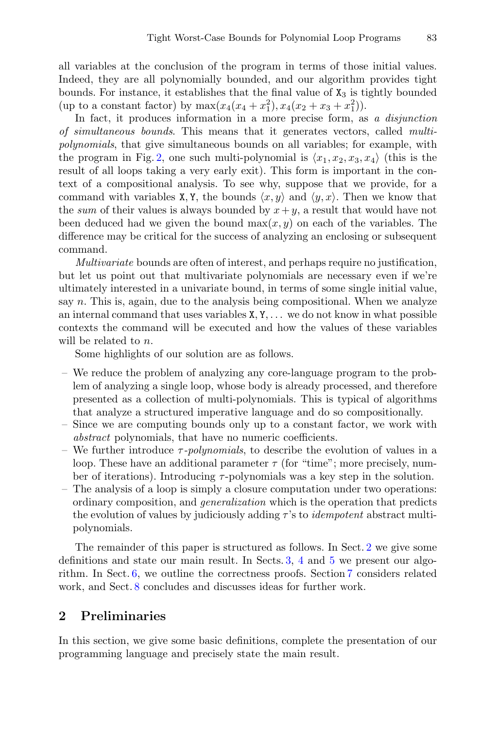all variables at the conclusion of the program in terms of those initial values. Indeed, they are all polynomially bounded, and our algorithm provides tight bounds. For instance, it establishes that the final value of  $X_3$  is tightly bounded (up to a constant factor) by  $\max(x_4(x_4 + x_1^2), x_4(x_2 + x_3 + x_1^2)).$ 

In fact, it produces information in a more precise form, as *a disjunction of simultaneous bounds*. This means that it generates vectors, called *multipolynomials*, that give simultaneous bounds on all variables; for example, with the program in Fig. [2,](#page-2-0) one such multi-polynomial is  $\langle x_1, x_2, x_3, x_4 \rangle$  (this is the result of all loops taking a very early exit). This form is important in the context of a compositional analysis. To see why, suppose that we provide, for a command with variables  $X, Y$ , the bounds  $\langle x, y \rangle$  and  $\langle y, x \rangle$ . Then we know that the *sum* of their values is always bounded by  $x + y$ , a result that would have not been deduced had we given the bound  $\max(x, y)$  on each of the variables. The difference may be critical for the success of analyzing an enclosing or subsequent command.

*Multivariate* bounds are often of interest, and perhaps require no justification, but let us point out that multivariate polynomials are necessary even if we're ultimately interested in a univariate bound, in terms of some single initial value, say  $n$ . This is, again, due to the analysis being compositional. When we analyze an internal command that uses variables  $X, Y, \ldots$  we do not know in what possible contexts the command will be executed and how the values of these variables will be related to n.

Some highlights of our solution are as follows.

- We reduce the problem of analyzing any core-language program to the problem of analyzing a single loop, whose body is already processed, and therefore presented as a collection of multi-polynomials. This is typical of algorithms that analyze a structured imperative language and do so compositionally.
- Since we are computing bounds only up to a constant factor, we work with *abstract* polynomials, that have no numeric coefficients.
- We further introduce  $\tau$ -*polynomials*, to describe the evolution of values in a loop. These have an additional parameter  $\tau$  (for "time"; more precisely, number of iterations). Introducing  $\tau$ -polynomials was a key step in the solution.
- The analysis of a loop is simply a closure computation under two operations: ordinary composition, and *generalization* which is the operation that predicts the evolution of values by judiciously adding τ 's to *idempotent* abstract multipolynomials.

The remainder of this paper is structured as follows. In Sect. [2](#page-3-0) we give some definitions and state our main result. In Sects. [3,](#page-6-0) [4](#page-7-0) and [5](#page-9-0) we present our algorithm. In Sect. [6,](#page-12-0) we outline the correctness proofs. Section [7](#page-13-0) considers related work, and Sect. [8](#page-14-0) concludes and discusses ideas for further work.

## <span id="page-3-0"></span>**2 Preliminaries**

In this section, we give some basic definitions, complete the presentation of our programming language and precisely state the main result.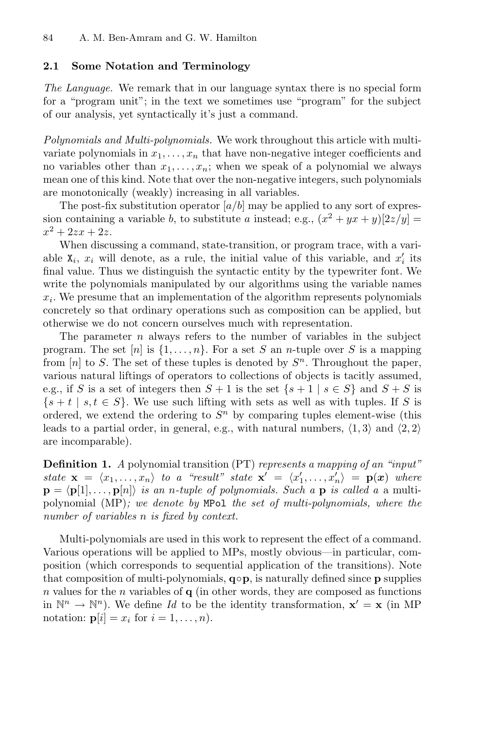#### **2.1 Some Notation and Terminology**

*The Language.* We remark that in our language syntax there is no special form for a "program unit"; in the text we sometimes use "program" for the subject of our analysis, yet syntactically it's just a command.

*Polynomials and Multi-polynomials.* We work throughout this article with multivariate polynomials in  $x_1, \ldots, x_n$  that have non-negative integer coefficients and no variables other than  $x_1, \ldots, x_n$ ; when we speak of a polynomial we always mean one of this kind. Note that over the non-negative integers, such polynomials are monotonically (weakly) increasing in all variables.

The post-fix substitution operator  $\left[a/b\right]$  may be applied to any sort of expression containing a variable b, to substitute a instead; e.g.,  $(x^2 + yx + y)[2z/y] =$  $x^2 + 2zx + 2z$ .

When discussing a command, state-transition, or program trace, with a variable  $X_i$ ,  $x_i$  will denote, as a rule, the initial value of this variable, and  $x'_i$  its final value. Thus we distinguish the syntactic entity by the typewriter font. We write the polynomials manipulated by our algorithms using the variable names  $x_i$ . We presume that an implementation of the algorithm represents polynomials concretely so that ordinary operations such as composition can be applied, but otherwise we do not concern ourselves much with representation.

The parameter  $n$  always refers to the number of variables in the subject program. The set [n] is  $\{1,\ldots,n\}$ . For a set S an *n*-tuple over S is a mapping from [n] to S. The set of these tuples is denoted by  $S<sup>n</sup>$ . Throughout the paper, various natural liftings of operators to collections of objects is tacitly assumed, e.g., if S is a set of integers then  $S + 1$  is the set  $\{s + 1 \mid s \in S\}$  and  $S + S$  is  $\{s+t \mid s,t \in S\}$ . We use such lifting with sets as well as with tuples. If S is ordered, we extend the ordering to  $S<sup>n</sup>$  by comparing tuples element-wise (this leads to a partial order, in general, e.g., with natural numbers,  $\langle 1, 3 \rangle$  and  $\langle 2, 2 \rangle$ are incomparable).

**Definition 1.** *A* polynomial transition (PT) *represents a mapping of an "input" state*  $\mathbf{x} = \langle x_1, \ldots, x_n \rangle$  *to a "result" state*  $\mathbf{x}' = \langle x'_1, \ldots, x'_n \rangle = \mathbf{p}(\mathbf{x})$  *where*  $\mathbf{p} = \langle \mathbf{p}[1], \ldots, \mathbf{p}[n] \rangle$  *is an n-tuple of polynomials. Such a* **p** *is called a* a multipolynomial (MP)*; we denote by* MPol *the set of multi-polynomials, where the number of variables* n *is fixed by context.*

Multi-polynomials are used in this work to represent the effect of a command. Various operations will be applied to MPs, mostly obvious—in particular, composition (which corresponds to sequential application of the transitions). Note that composition of multi-polynomials,  $q \circ p$ , is naturally defined since **p** supplies n values for the n variables of **q** (in other words, they are composed as functions in  $\mathbb{N}^n \to \mathbb{N}^n$ ). We define *Id* to be the identity transformation,  $\mathbf{x}' = \mathbf{x}$  (in MP notation:  $\mathbf{p}[i] = x_i$  for  $i = 1, \ldots, n$ ).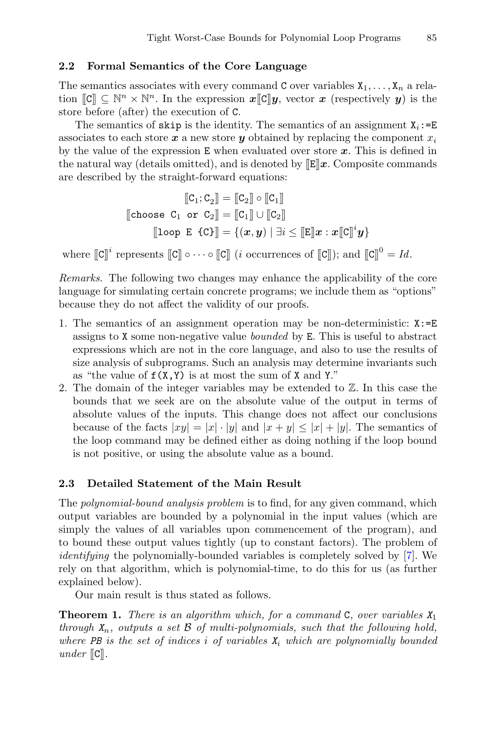#### **2.2 Formal Semantics of the Core Language**

The semantics associates with every command C over variables  $X_1, \ldots, X_n$  a relation  $\mathbb{C} \to \mathbb{R}^n \times \mathbb{R}^n$ . In the expression  $x \in \mathbb{C} \mid y$ , vector  $x$  (respectively *y*) is the store before (after) the execution of C.

The semantics of skip is the identity. The semantics of an assignment  $X_i := E$ associates to each store  $x$  a new store  $y$  obtained by replacing the component  $x_i$ by the value of the expression E when evaluated over store *x*. This is defined in the natural way (details omitted), and is denoted by  $\mathbb{E} \mathbb{E} x$ . Composite commands are described by the straight-forward equations:

$$
\begin{aligned}\n\llbracket \texttt{C}_1 ; \texttt{C}_2 \rrbracket &= \llbracket \texttt{C}_2 \rrbracket \circ \llbracket \texttt{C}_1 \rrbracket \\
\llbracket \texttt{choose C}_1 \texttt{ or } \texttt{C}_2 \rrbracket &= \llbracket \texttt{C}_1 \rrbracket \cup \llbracket \texttt{C}_2 \rrbracket \\
\llbracket \texttt{C}_2 \rrbracket\n\end{aligned}
$$
\n
$$
\llbracket \texttt{loop E {C} \rrbracket = \{(x, y) \mid \exists i \leq \llbracket \texttt{E} \rrbracket x : x \llbracket \texttt{C} \rrbracket^i y\}
$$

where  $\llbracket \texttt{C} \rrbracket^i$  represents  $\llbracket \texttt{C} \rrbracket \circ \cdots \circ \llbracket \texttt{C} \rrbracket$  (*i* occurrences of  $\llbracket \texttt{C} \rrbracket$ ); and  $\llbracket \texttt{C} \rrbracket^0 = Id$ .

*Remarks.* The following two changes may enhance the applicability of the core language for simulating certain concrete programs; we include them as "options" because they do not affect the validity of our proofs.

- 1. The semantics of an assignment operation may be non-deterministic:  $X := E$ assigns to X some non-negative value *bounded* by E. This is useful to abstract expressions which are not in the core language, and also to use the results of size analysis of subprograms. Such an analysis may determine invariants such as "the value of  $f(X,Y)$  is at most the sum of X and Y."
- 2. The domain of the integer variables may be extended to Z. In this case the bounds that we seek are on the absolute value of the output in terms of absolute values of the inputs. This change does not affect our conclusions because of the facts  $|xy| = |x| \cdot |y|$  and  $|x + y| \leq |x| + |y|$ . The semantics of the loop command may be defined either as doing nothing if the loop bound is not positive, or using the absolute value as a bound.

#### **2.3 Detailed Statement of the Main Result**

The *polynomial-bound analysis problem* is to find, for any given command, which output variables are bounded by a polynomial in the input values (which are simply the values of all variables upon commencement of the program), and to bound these output values tightly (up to constant factors). The problem of *identifying* the polynomially-bounded variables is completely solved by [\[7](#page-15-2)]. We rely on that algorithm, which is polynomial-time, to do this for us (as further explained below).

Our main result is thus stated as follows.

**Theorem 1.** *There is an algorithm which, for a command* C*, over variables X*<sup>1</sup> *through*  $X_n$ , *outputs* a set  $\beta$  *of multi-polynomials, such that the following hold, where PB is the set of indices* i *of variables X*<sup>i</sup> *which are polynomially bounded*  $under$  [[C]].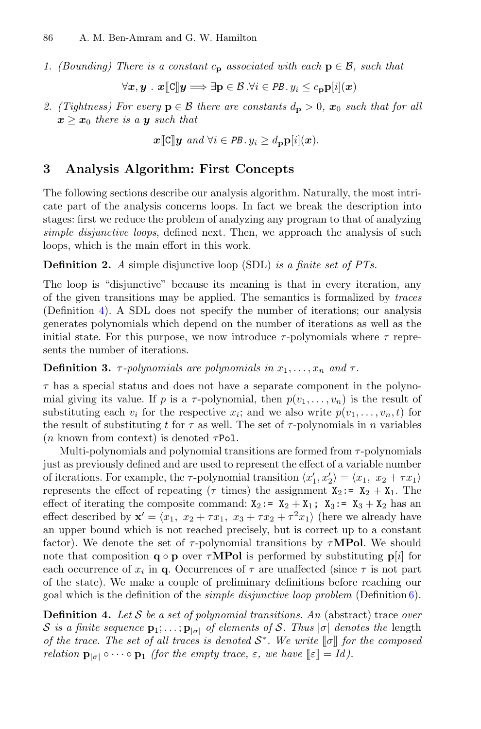*1. (Bounding) There is a constant*  $c_p$  *associated with each*  $p \in \mathcal{B}$ *, such that* 

$$
\forall \boldsymbol{x}, \boldsymbol{y} \;.\; \boldsymbol{x} \llbracket \texttt{C} \rrbracket \boldsymbol{y} \Longrightarrow \exists \mathbf{p} \in \mathcal{B} \,.\forall i \in \textit{PB} \,.\, y_i \leq c_{\mathbf{p}} \mathbf{p}[i](\boldsymbol{x})
$$

*2.* (Tightness) For every  $p \in \mathcal{B}$  there are constants  $d_p > 0$ ,  $x_0$  such that for all  $\mathbf{x} \geq \mathbf{x}_0$  *there is a y such that* 

$$
\boldsymbol{x}[\![\mathtt{C}]\!] \boldsymbol{y} \ \text{and} \ \forall i \in \textit{PB} \,.\, y_i \geq d_{\mathbf{p}} \mathbf{p}[i](\boldsymbol{x}).
$$

## <span id="page-6-0"></span>**3 Analysis Algorithm: First Concepts**

The following sections describe our analysis algorithm. Naturally, the most intricate part of the analysis concerns loops. In fact we break the description into stages: first we reduce the problem of analyzing any program to that of analyzing *simple disjunctive loops*, defined next. Then, we approach the analysis of such loops, which is the main effort in this work.

**Definition 2.** *A* simple disjunctive loop (SDL) *is a finite set of PTs.*

The loop is "disjunctive" because its meaning is that in every iteration, any of the given transitions may be applied. The semantics is formalized by *traces* (Definition [4\)](#page-6-1). A SDL does not specify the number of iterations; our analysis generates polynomials which depend on the number of iterations as well as the initial state. For this purpose, we now introduce  $\tau$ -polynomials where  $\tau$  represents the number of iterations.

**Definition 3.**  $\tau$ -polynomials are polynomials in  $x_1, \ldots, x_n$  and  $\tau$ .

 $\tau$  has a special status and does not have a separate component in the polynomial giving its value. If p is a  $\tau$ -polynomial, then  $p(v_1,\ldots,v_n)$  is the result of substituting each  $v_i$  for the respective  $x_i$ ; and we also write  $p(v_1,\ldots,v_n,t)$  for the result of substituting t for  $\tau$  as well. The set of  $\tau$ -polynomials in n variables (*n* known from context) is denoted  $\tau$ Pol.

Multi-polynomials and polynomial transitions are formed from  $\tau$ -polynomials just as previously defined and are used to represent the effect of a variable number of iterations. For example, the  $\tau$ -polynomial transition  $\langle x_1', x_2' \rangle = \langle x_1, x_2 + \tau x_1 \rangle$ represents the effect of repeating ( $\tau$  times) the assignment  $X_2 := X_2 + X_1$ . The effect of iterating the composite command:  $X_2 := X_2 + X_1$ ;  $X_3 := X_3 + X_2$  has an effect described by  $\mathbf{x}' = \langle x_1, x_2 + \tau x_1, x_3 + \tau x_2 + \tau^2 x_1 \rangle$  (here we already have an upper bound which is not reached precisely, but is correct up to a constant factor). We denote the set of  $\tau$ -polynomial transitions by  $\tau$ **MPol**. We should note that composition  $\mathbf{q} \circ \mathbf{p}$  over  $\tau \mathbf{MPol}$  is performed by substituting  $\mathbf{p}[i]$  for each occurrence of  $x_i$  in **q**. Occurrences of  $\tau$  are unaffected (since  $\tau$  is not part of the state). We make a couple of preliminary definitions before reaching our goal which is the definition of the *simple disjunctive loop problem* (Definition [6\)](#page-7-1).

<span id="page-6-1"></span>**Definition 4.** *Let* S *be a set of polynomial transitions. An* (abstract) trace *over* S is a finite sequence  $\mathbf{p}_1$ ; ...;  $\mathbf{p}_{|\sigma|}$  of elements of S. Thus  $|\sigma|$  denotes the length *of the trace. The set of all traces is denoted* <sup>S</sup><sup>∗</sup>*. We write* [[σ]] *for the composed relation*  $\mathbf{p}_{|\sigma|} \circ \cdots \circ \mathbf{p}_1$  *(for the empty trace,*  $\varepsilon$ *, we have*  $[\![\varepsilon]\!] = Id$ *).*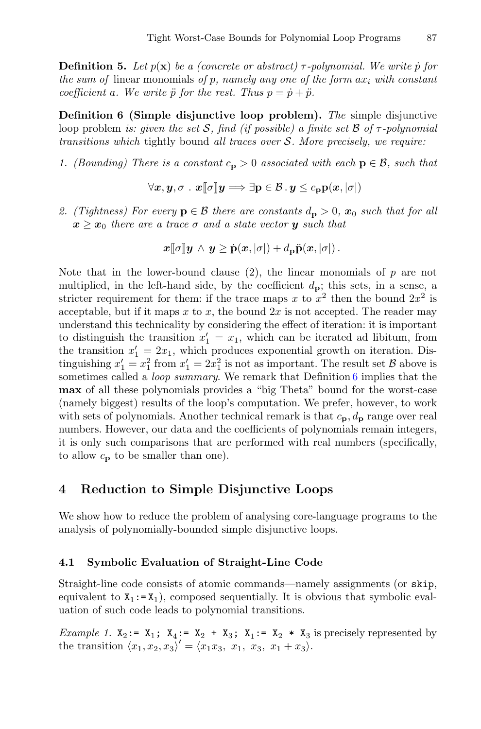**Definition 5.** Let  $p(x)$  be a (concrete or abstract)  $\tau$ -polynomial. We write p for *the sum of* linear monomials *of* p*, namely any one of the form* ax<sup>i</sup> *with constant coefficient* a. We write  $\ddot{p}$  for the rest. Thus  $p = \dot{p} + \ddot{p}$ .

<span id="page-7-1"></span>**Definition 6 (Simple disjunctive loop problem).** *The* simple disjunctive loop problem *is: given the set* <sup>S</sup>*, find (if possible) a finite set* <sup>B</sup> *of* <sup>τ</sup> *-polynomial transitions which* tightly bound *all traces over* S*. More precisely, we require:*

*1. (Bounding) There is a constant*  $c_p > 0$  *associated with each*  $p \in \mathcal{B}$ *, such that* 

$$
\forall \boldsymbol{x},\boldsymbol{y},\sigma\, \ldotp \boldsymbol{x}[\![\sigma]\!] \boldsymbol{y} \Longrightarrow \exists \mathbf{p} \in \mathcal{B}\,.\, \boldsymbol{y} \leq c_{\mathbf{p}} \mathbf{p}(\boldsymbol{x},|\sigma|)
$$

*2.* (Tightness) For every  $\mathbf{p} \in \mathcal{B}$  there are constants  $d_{\mathbf{p}} > 0$ ,  $x_0$  such that for all  $\mathbf{x} \geq \mathbf{x}_0$  *there are a trace*  $\sigma$  *and a state vector y such that* 

$$
\boldsymbol{x}[\![\sigma]\!] \boldsymbol{y} \, \wedge \, \boldsymbol{y} \geq \dot{\mathbf{p}}(\boldsymbol{x},|\sigma|) + d_{\mathbf{p}} \ddot{\mathbf{p}}(\boldsymbol{x},|\sigma|) \, .
$$

Note that in the lower-bound clause  $(2)$ , the linear monomials of p are not multiplied, in the left-hand side, by the coefficient  $d_{\bf p}$ ; this sets, in a sense, a stricter requirement for them: if the trace maps x to  $x^2$  then the bound  $2x^2$  is acceptable, but if it maps x to x, the bound  $2x$  is not accepted. The reader may understand this technicality by considering the effect of iteration: it is important to distinguish the transition  $x'_1 = x_1$ , which can be iterated ad libitum, from the transition  $x_1' = 2x_1$ , which produces exponential growth on iteration. Distinguishing  $x'_1 = x_1^2$  from  $x'_1 = 2x_1^2$  is not as important. The result set  $\beta$  above is sometimes called a *loop summary*. We remark that Definition [6](#page-7-1) implies that the **max** of all these polynomials provides a "big Theta" bound for the worst-case (namely biggest) results of the loop's computation. We prefer, however, to work with sets of polynomials. Another technical remark is that  $c_{\bf p}$ ,  $d_{\bf p}$  range over real numbers. However, our data and the coefficients of polynomials remain integers, it is only such comparisons that are performed with real numbers (specifically, to allow  $c_{\mathbf{p}}$  to be smaller than one).

## <span id="page-7-0"></span>**4 Reduction to Simple Disjunctive Loops**

We show how to reduce the problem of analysing core-language programs to the analysis of polynomially-bounded simple disjunctive loops.

## **4.1 Symbolic Evaluation of Straight-Line Code**

Straight-line code consists of atomic commands—namely assignments (or skip, equivalent to  $X_1 := X_1$ , composed sequentially. It is obvious that symbolic evaluation of such code leads to polynomial transitions.

*Example 1.*  $X_2 := X_1$ ;  $X_4 := X_2 + X_3$ ;  $X_1 := X_2 * X_3$  is precisely represented by the transition  $\langle x_1, x_2, x_3 \rangle' = \langle x_1 x_3, x_1, x_3, x_1 + x_3 \rangle$ .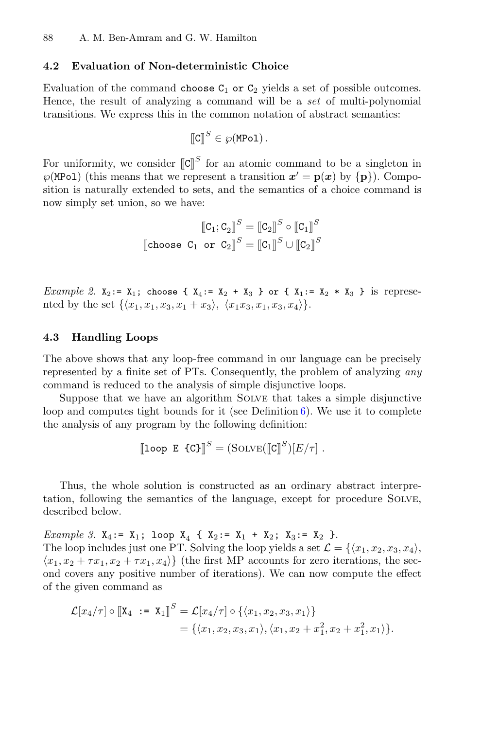#### **4.2 Evaluation of Non-deterministic Choice**

Evaluation of the command choose  $C_1$  or  $C_2$  yields a set of possible outcomes. Hence, the result of analyzing a command will be a *set* of multi-polynomial transitions. We express this in the common notation of abstract semantics:

$$
\llbracket \texttt{C} \rrbracket^S \in \wp(\texttt{MPol})\,.
$$

For uniformity, we consider  $\mathbb{C} \mathbb{C}^S$  for an atomic command to be a singleton in  $\wp(MPol)$  (this means that we represent a transition  $x' = p(x)$  by  $\{p\}$ ). Composition is naturally extended to sets, and the semantics of a choice command is now simply set union, so we have:

$$
\begin{aligned} \left[\!\left[\mathtt{C}_1;\mathtt{C}_2\right]\!\right]^S = \left[\!\left[\mathtt{C}_2\right]\!\right]^S \circ \left[\!\left[\mathtt{C}_1\right]\!\right]^S \\ \left[\!\left[\text{choose } \mathtt{C}_1 \text{ or } \mathtt{C}_2\right]\!\right]^S = \left[\!\left[\mathtt{C}_1\right]\!\right]^S \cup \left[\!\left[\mathtt{C}_2\right]\!\right]^S \end{aligned}
$$

*Example 2.*  $X_2 := X_1$ ; choose {  $X_4 := X_2 + X_3$  } or {  $X_1 := X_2 * X_3$  } is represented by the set  $\{\langle x_1, x_1, x_3, x_1 + x_3 \rangle, \ \langle x_1x_3, x_1, x_3, x_4 \rangle\}.$ 

#### **4.3 Handling Loops**

The above shows that any loop-free command in our language can be precisely represented by a finite set of PTs. Consequently, the problem of analyzing *any* command is reduced to the analysis of simple disjunctive loops.

Suppose that we have an algorithm Solve that takes a simple disjunctive loop and computes tight bounds for it (see Definition [6\)](#page-7-1). We use it to complete the analysis of any program by the following definition:

$$
\llbracket \texttt{loop}\ \texttt{E}\ \{\texttt{C}\}\rrbracket^S = (\mathrm{Solve}(\llbracket \texttt{C}\rrbracket^S)[E/\tau]\ .
$$

Thus, the whole solution is constructed as an ordinary abstract interpretation, following the semantics of the language, except for procedure Solve, described below.

*Example 3.*  $X_4 := X_1$ ; loop  $X_4 \{ X_2 := X_1 + X_2 \}$ ,  $X_3 := X_2$  }. The loop includes just one PT. Solving the loop yields a set  $\mathcal{L} = \{ \langle x_1, x_2, x_3, x_4 \rangle, \}$  $\langle x_1, x_2 + \tau x_1, x_2 + \tau x_1, x_4 \rangle$  (the first MP accounts for zero iterations, the second covers any positive number of iterations). We can now compute the effect of the given command as

$$
\mathcal{L}[x_4/\tau] \circ [\![\mathbf{X}_4 \; := \; \mathbf{X}_1\!]^S = \mathcal{L}[x_4/\tau] \circ \{ \langle x_1, x_2, x_3, x_1 \rangle \} \n= \{ \langle x_1, x_2, x_3, x_1 \rangle, \langle x_1, x_2 + x_1^2, x_2 + x_1^2, x_1 \rangle \}.
$$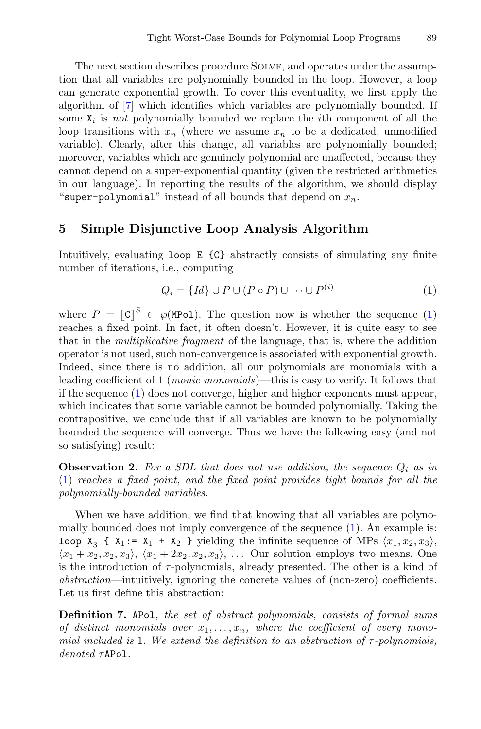The next section describes procedure Solve, and operates under the assumption that all variables are polynomially bounded in the loop. However, a loop can generate exponential growth. To cover this eventuality, we first apply the algorithm of [\[7\]](#page-15-2) which identifies which variables are polynomially bounded. If some  $X_i$  is *not* polynomially bounded we replace the *i*th component of all the loop transitions with  $x_n$  (where we assume  $x_n$  to be a dedicated, unmodified variable). Clearly, after this change, all variables are polynomially bounded; moreover, variables which are genuinely polynomial are unaffected, because they cannot depend on a super-exponential quantity (given the restricted arithmetics in our language). In reporting the results of the algorithm, we should display "super-polynomial" instead of all bounds that depend on  $x_n$ .

## <span id="page-9-0"></span>**5 Simple Disjunctive Loop Analysis Algorithm**

Intuitively, evaluating loop E {C} abstractly consists of simulating any finite number of iterations, i.e., computing

<span id="page-9-1"></span>
$$
Q_i = \{ Id \} \cup P \cup (P \circ P) \cup \dots \cup P^{(i)} \tag{1}
$$

where  $P = \llbracket \mathbf{C} \rrbracket^S \in \wp(MPol)$ . The question now is whether the sequence [\(1\)](#page-9-1) reaches a fixed point. In fact, it often doesn't. However, it is quite easy to see that in the *multiplicative fragment* of the language, that is, where the addition operator is not used, such non-convergence is associated with exponential growth. Indeed, since there is no addition, all our polynomials are monomials with a leading coefficient of 1 (*monic monomials*)—this is easy to verify. It follows that if the sequence [\(1\)](#page-9-1) does not converge, higher and higher exponents must appear, which indicates that some variable cannot be bounded polynomially. Taking the contrapositive, we conclude that if all variables are known to be polynomially bounded the sequence will converge. Thus we have the following easy (and not so satisfying) result:

**Observation 2.** For a SDL that does not use addition, the sequence  $Q_i$  as in [\(1\)](#page-9-1) *reaches a fixed point, and the fixed point provides tight bounds for all the polynomially-bounded variables.*

When we have addition, we find that knowing that all variables are polynomially bounded does not imply convergence of the sequence [\(1\)](#page-9-1). An example is: loop  $X_3$  {  $X_1 := X_1 + X_2$  } yielding the infinite sequence of MPs  $\langle x_1, x_2, x_3 \rangle$ ,  $\langle x_1 + x_2, x_2, x_3 \rangle, \langle x_1 + 2x_2, x_2, x_3 \rangle, \ldots$  Our solution employs two means. One is the introduction of  $\tau$ -polynomials, already presented. The other is a kind of *abstraction*—intuitively, ignoring the concrete values of (non-zero) coefficients. Let us first define this abstraction:

**Definition 7.** APol*, the set of abstract polynomials, consists of formal sums* of distinct monomials over  $x_1, \ldots, x_n$ , where the coefficient of every mono*mial included is* 1*. We extend the definition to an abstraction of*  $\tau$ -polynomials, *denoted* τAPol*.*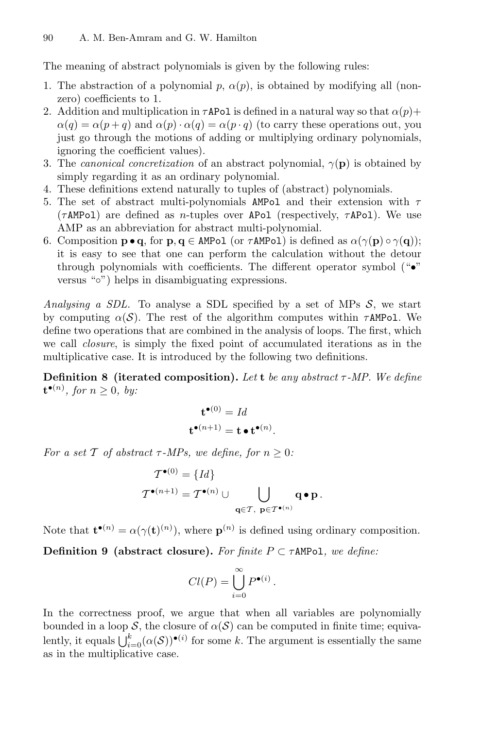The meaning of abstract polynomials is given by the following rules:

- 1. The abstraction of a polynomial p,  $\alpha(p)$ , is obtained by modifying all (nonzero) coefficients to 1.
- 2. Addition and multiplication in  $\tau$ APol is defined in a natural way so that  $\alpha(p)$ +  $\alpha(q) = \alpha(p+q)$  and  $\alpha(p) \cdot \alpha(q) = \alpha(p \cdot q)$  (to carry these operations out, you just go through the motions of adding or multiplying ordinary polynomials, ignoring the coefficient values).
- 3. The *canonical concretization* of an abstract polynomial, γ(**p**) is obtained by simply regarding it as an ordinary polynomial.
- 4. These definitions extend naturally to tuples of (abstract) polynomials.
- 5. The set of abstract multi-polynomials AMPol and their extension with  $\tau$  $(\tau AMPo1)$  are defined as *n*-tuples over APol (respectively,  $\tau APol$ ). We use AMP as an abbreviation for abstract multi-polynomial.
- 6. Composition  $\mathbf{p} \cdot \mathbf{q}$ , for  $\mathbf{p}, \mathbf{q} \in \text{AMPol}$  (or  $\tau \text{AMPol}$ ) is defined as  $\alpha(\gamma(\mathbf{p}) \circ \gamma(\mathbf{q}))$ ; it is easy to see that one can perform the calculation without the detour through polynomials with coefficients. The different operator symbol ("•" versus "◦") helps in disambiguating expressions.

*Analysing a SDL.* To analyse a SDL specified by a set of MPs S, we start by computing  $\alpha(S)$ . The rest of the algorithm computes within  $\tau$ AMPol. We define two operations that are combined in the analysis of loops. The first, which we call *closure*, is simply the fixed point of accumulated iterations as in the multiplicative case. It is introduced by the following two definitions.

**Definition 8 (iterated composition).** *Let* **t** *be any abstract* τ *-MP. We define*  $\mathbf{t}^{\bullet(n)}$ *, for*  $n \geq 0$ *, by:* 

$$
\mathbf{t}^{\bullet(0)} = Id
$$
  

$$
\mathbf{t}^{\bullet(n+1)} = \mathbf{t} \bullet \mathbf{t}^{\bullet(n)}.
$$

*For a set*  $\mathcal T$  *of abstract*  $\tau$ -*MPs, we define, for*  $n > 0$ *:* 

$$
T^{\bullet(0)} = \{Id\}
$$
  

$$
T^{\bullet(n+1)} = T^{\bullet(n)} \cup \bigcup_{\mathbf{q} \in \mathcal{T}, \ \mathbf{p} \in T^{\bullet(n)}} \mathbf{q} \bullet \mathbf{p}.
$$

Note that  $\mathbf{t}^{\bullet(n)} = \alpha(\gamma(\mathbf{t})^{(n)})$ , where  $\mathbf{p}^{(n)}$  is defined using ordinary composition.

**Definition 9 (abstract closure).** *For finite* <sup>P</sup> <sup>⊂</sup> <sup>τ</sup>AMPol*, we define:*

$$
Cl(P) = \bigcup_{i=0}^{\infty} P^{\bullet(i)}.
$$

In the correctness proof, we argue that when all variables are polynomially bounded in a loop S, the closure of  $\alpha(S)$  can be computed in finite time; equivalently, it equals  $\bigcup_{i=0}^{k} (\alpha(S))^{\bullet(i)}$  for some k. The argument is essentially the same as in the multiplicative case.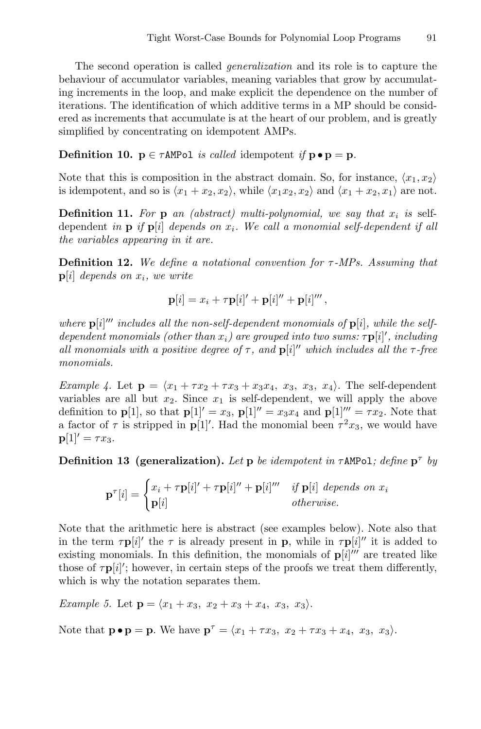The second operation is called *generalization* and its role is to capture the behaviour of accumulator variables, meaning variables that grow by accumulating increments in the loop, and make explicit the dependence on the number of iterations. The identification of which additive terms in a MP should be considered as increments that accumulate is at the heart of our problem, and is greatly simplified by concentrating on idempotent AMPs.

## **Definition 10.**  $p \in \tau$ AMPol *is called* idempotent *if*  $p \bullet p = p$ *.*

Note that this is composition in the abstract domain. So, for instance,  $\langle x_1, x_2 \rangle$ is idempotent, and so is  $\langle x_1 + x_2, x_2 \rangle$ , while  $\langle x_1 x_2, x_2 \rangle$  and  $\langle x_1 + x_2, x_1 \rangle$  are not.

**Definition 11.** For **p** an (abstract) multi-polynomial, we say that  $x_i$  is selfdependent *in* **p** *if* **p**[i] *depends on* xi*. We call a monomial self-dependent if all the variables appearing in it are.*

**Definition 12.** *We define a notational convention for* τ *-MPs. Assuming that*  $\mathbf{p}[i]$  *depends on*  $x_i$ *, we write* 

$$
\mathbf{p}[i] = x_i + \tau \mathbf{p}[i]' + \mathbf{p}[i]'' + \mathbf{p}[i]''' ,
$$

*where* **p**[i] *includes all the non-self-dependent monomials of* **p**[i]*, while the selfdependent monomials (other than*  $x_i$ *) are grouped into two sums:*  $\tau$ **p**[i]', including *all monomials with a positive degree of*  $\tau$ , and  $\mathbf{p}[i]'$  which includes all the  $\tau$ -free *monomials.*

*Example 4.* Let  $\mathbf{p} = \langle x_1 + \tau x_2 + \tau x_3 + x_3x_4, x_3, x_3, x_4 \rangle$ . The self-dependent variables are all but  $x_2$ . Since  $x_1$  is self-dependent, we will apply the above definition to **p**[1], so that **p**[1]' =  $x_3$ , **p**[1]'' =  $x_3x_4$  and **p**[1]''' =  $\tau x_2$ . Note that a factor of  $\tau$  is stripped in **p**[1]'. Had the monomial been  $\tau^2 x_3$ , we would have **p**[1]' =  $\tau x_3$ .

**Definition 13 (generalization).** *Let* **p** *be idempotent in* τAMPol*; define* **p**<sup>τ</sup> *by*

$$
\mathbf{p}^{\tau}[i] = \begin{cases} x_i + \tau \mathbf{p}[i]' + \tau \mathbf{p}[i]'' + \mathbf{p}[i]''' & \text{if } \mathbf{p}[i] \text{ depends on } x_i \\ \mathbf{p}[i] & \text{otherwise.} \end{cases}
$$

Note that the arithmetic here is abstract (see examples below). Note also that in the term  $\tau \mathbf{p}[i]'$  the  $\tau$  is already present in **p**, while in  $\tau \mathbf{p}[i]'$  it is added to existing monomials. In this definition, the monomials of  $\mathbf{p}[i]$ <sup>*m*</sup> are treated like those of  $\tau \mathbf{p}[i]'$ ; however, in certain steps of the proofs we treat them differently, which is why the notation separates them.

*Example 5.* Let  $\mathbf{p} = \langle x_1 + x_3, x_2 + x_3 + x_4, x_3, x_3 \rangle$ .

Note that  $\mathbf{p} \bullet \mathbf{p} = \mathbf{p}$ . We have  $\mathbf{p}^{\tau} = \langle x_1 + \tau x_3, x_2 + \tau x_3 + x_4, x_3, x_3 \rangle$ .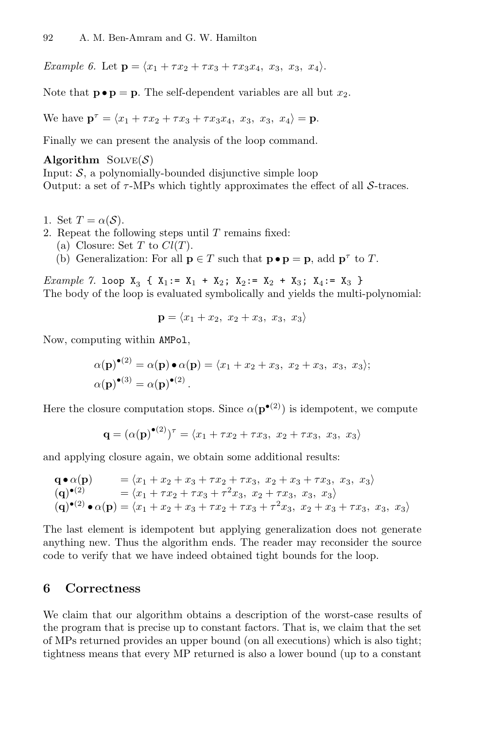*Example 6.* Let  $\mathbf{p} = \langle x_1 + \tau x_2 + \tau x_3 + \tau x_3 x_4, x_3, x_3, x_4 \rangle$ .

Note that  $\mathbf{p} \bullet \mathbf{p} = \mathbf{p}$ . The self-dependent variables are all but  $x_2$ .

We have  $\mathbf{p}^{\tau} = \langle x_1 + \tau x_2 + \tau x_3 + \tau x_3 x_4, x_3, x_3, x_4 \rangle = \mathbf{p}$ .

Finally we can present the analysis of the loop command.

**Algorithm**  $SOLVE(S)$ 

Input:  $S$ , a polynomially-bounded disjunctive simple loop Output: a set of  $\tau$ -MPs which tightly approximates the effect of all  $S$ -traces.

1. Set  $T = \alpha(S)$ .

- 2. Repeat the following steps until  $T$  remains fixed:
	- (a) Closure: Set T to  $Cl(T)$ .
	- (b) Generalization: For all  $p \in T$  such that  $p \bullet p = p$ , add  $p^{\tau}$  to T.

*Example 7.* loop  $X_3 \{ X_1 := X_1 + X_2; X_2 := X_2 + X_3; X_4 := X_3 \}$ The body of the loop is evaluated symbolically and yields the multi-polynomial:

$$
\mathbf{p} = \langle x_1 + x_2, x_2 + x_3, x_3, x_3 \rangle
$$

Now, computing within AMPol,

$$
\alpha(\mathbf{p})^{\bullet(2)} = \alpha(\mathbf{p}) \bullet \alpha(\mathbf{p}) = \langle x_1 + x_2 + x_3, x_2 + x_3, x_3, x_3 \rangle;
$$
  

$$
\alpha(\mathbf{p})^{\bullet(3)} = \alpha(\mathbf{p})^{\bullet(2)}.
$$

Here the closure computation stops. Since  $\alpha(\mathbf{p}^{\bullet(2)})$  is idempotent, we compute

$$
\mathbf{q} = (\alpha(\mathbf{p})^{\bullet(2)})^{\tau} = \langle x_1 + \tau x_2 + \tau x_3, x_2 + \tau x_3, x_3, x_3 \rangle
$$

and applying closure again, we obtain some additional results:

$$
\begin{array}{ll}\n\mathbf{q} \bullet \alpha(\mathbf{p}) &= \langle x_1 + x_2 + x_3 + \tau x_2 + \tau x_3, \ x_2 + x_3 + \tau x_3, \ x_3, \ x_3 \rangle \\
(\mathbf{q})^{\bullet(2)} &= \langle x_1 + \tau x_2 + \tau x_3 + \tau^2 x_3, \ x_2 + \tau x_3, \ x_3, \ x_3 \rangle \\
(\mathbf{q})^{\bullet(2)} \bullet \alpha(\mathbf{p}) &= \langle x_1 + x_2 + x_3 + \tau x_2 + \tau x_3 + \tau^2 x_3, \ x_2 + x_3 + \tau x_3, \ x_3 \rangle\n\end{array}
$$

The last element is idempotent but applying generalization does not generate anything new. Thus the algorithm ends. The reader may reconsider the source code to verify that we have indeed obtained tight bounds for the loop.

# <span id="page-12-0"></span>**6 Correctness**

We claim that our algorithm obtains a description of the worst-case results of the program that is precise up to constant factors. That is, we claim that the set of MPs returned provides an upper bound (on all executions) which is also tight; tightness means that every MP returned is also a lower bound (up to a constant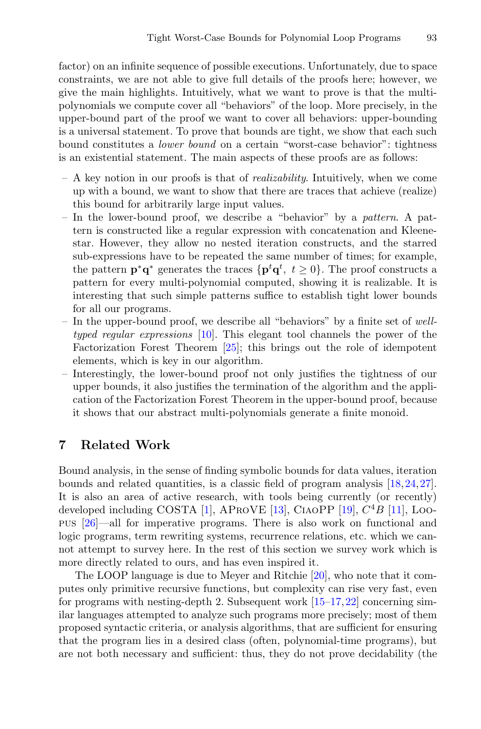factor) on an infinite sequence of possible executions. Unfortunately, due to space constraints, we are not able to give full details of the proofs here; however, we give the main highlights. Intuitively, what we want to prove is that the multipolynomials we compute cover all "behaviors" of the loop. More precisely, in the upper-bound part of the proof we want to cover all behaviors: upper-bounding is a universal statement. To prove that bounds are tight, we show that each such bound constitutes a *lower bound* on a certain "worst-case behavior": tightness is an existential statement. The main aspects of these proofs are as follows:

- A key notion in our proofs is that of *realizability*. Intuitively, when we come up with a bound, we want to show that there are traces that achieve (realize) this bound for arbitrarily large input values.
- In the lower-bound proof, we describe a "behavior" by a *pattern*. A pattern is constructed like a regular expression with concatenation and Kleenestar. However, they allow no nested iteration constructs, and the starred sub-expressions have to be repeated the same number of times; for example, the pattern **p**<sup>\*</sup>**q**<sup>\*</sup> generates the traces  $\{p^t q^t, t \ge 0\}$ . The proof constructs a pattern for every multi-polynomial computed, showing it is realizable. It is interesting that such simple patterns suffice to establish tight lower bounds for all our programs.
- In the upper-bound proof, we describe all "behaviors" by a finite set of *welltyped regular expressions* [\[10](#page-15-8)]. This elegant tool channels the power of the Factorization Forest Theorem [\[25](#page-16-8)]; this brings out the role of idempotent elements, which is key in our algorithm.
- Interestingly, the lower-bound proof not only justifies the tightness of our upper bounds, it also justifies the termination of the algorithm and the application of the Factorization Forest Theorem in the upper-bound proof, because it shows that our abstract multi-polynomials generate a finite monoid.

## <span id="page-13-0"></span>**7 Related Work**

Bound analysis, in the sense of finding symbolic bounds for data values, iteration bounds and related quantities, is a classic field of program analysis [\[18](#page-16-1)[,24](#page-16-3),[27\]](#page-16-5). It is also an area of active research, with tools being currently (or recently) developed including COSTA [\[1](#page-15-0)], APROVE [\[13](#page-16-0)], CIAOPP [\[19](#page-16-2)],  $C<sup>4</sup>B$  [\[11](#page-15-1)], Loopus [\[26](#page-16-4)]—all for imperative programs. There is also work on functional and logic programs, term rewriting systems, recurrence relations, etc. which we cannot attempt to survey here. In the rest of this section we survey work which is more directly related to ours, and has even inspired it.

The LOOP language is due to Meyer and Ritchie [\[20\]](#page-16-7), who note that it computes only primitive recursive functions, but complexity can rise very fast, even for programs with nesting-depth 2. Subsequent work [\[15](#page-16-9)[–17,](#page-16-10)[22\]](#page-16-11) concerning similar languages attempted to analyze such programs more precisely; most of them proposed syntactic criteria, or analysis algorithms, that are sufficient for ensuring that the program lies in a desired class (often, polynomial-time programs), but are not both necessary and sufficient: thus, they do not prove decidability (the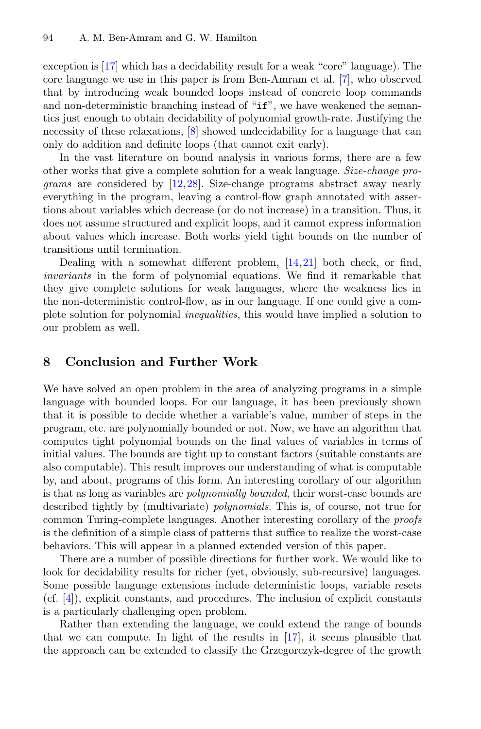exception is [\[17](#page-16-10)] which has a decidability result for a weak "core" language). The core language we use in this paper is from Ben-Amram et al. [\[7](#page-15-2)], who observed that by introducing weak bounded loops instead of concrete loop commands and non-deterministic branching instead of "if", we have weakened the semantics just enough to obtain decidability of polynomial growth-rate. Justifying the necessity of these relaxations, [\[8\]](#page-15-9) showed undecidability for a language that can only do addition and definite loops (that cannot exit early).

In the vast literature on bound analysis in various forms, there are a few other works that give a complete solution for a weak language. *Size-change programs* are considered by [\[12](#page-16-12),[28\]](#page-16-13). Size-change programs abstract away nearly everything in the program, leaving a control-flow graph annotated with assertions about variables which decrease (or do not increase) in a transition. Thus, it does not assume structured and explicit loops, and it cannot express information about values which increase. Both works yield tight bounds on the number of transitions until termination.

Dealing with a somewhat different problem, [\[14](#page-16-14),[21\]](#page-16-15) both check, or find, *invariants* in the form of polynomial equations. We find it remarkable that they give complete solutions for weak languages, where the weakness lies in the non-deterministic control-flow, as in our language. If one could give a complete solution for polynomial *inequalities*, this would have implied a solution to our problem as well.

#### <span id="page-14-0"></span>**8 Conclusion and Further Work**

We have solved an open problem in the area of analyzing programs in a simple language with bounded loops. For our language, it has been previously shown that it is possible to decide whether a variable's value, number of steps in the program, etc. are polynomially bounded or not. Now, we have an algorithm that computes tight polynomial bounds on the final values of variables in terms of initial values. The bounds are tight up to constant factors (suitable constants are also computable). This result improves our understanding of what is computable by, and about, programs of this form. An interesting corollary of our algorithm is that as long as variables are *polynomially bounded*, their worst-case bounds are described tightly by (multivariate) *polynomials*. This is, of course, not true for common Turing-complete languages. Another interesting corollary of the *proofs* is the definition of a simple class of patterns that suffice to realize the worst-case behaviors. This will appear in a planned extended version of this paper.

There are a number of possible directions for further work. We would like to look for decidability results for richer (yet, obviously, sub-recursive) languages. Some possible language extensions include deterministic loops, variable resets (cf. [\[4](#page-15-10)]), explicit constants, and procedures. The inclusion of explicit constants is a particularly challenging open problem.

Rather than extending the language, we could extend the range of bounds that we can compute. In light of the results in  $[17]$  $[17]$ , it seems plausible that the approach can be extended to classify the Grzegorczyk-degree of the growth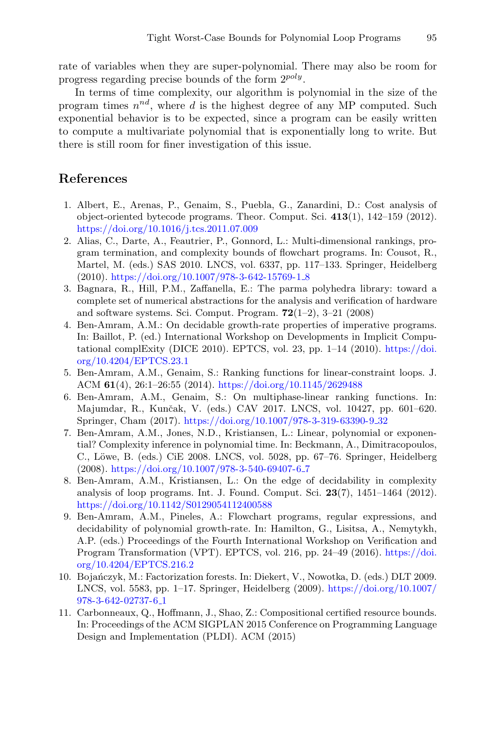rate of variables when they are super-polynomial. There may also be room for progress regarding precise bounds of the form  $2^{poly}$ .

In terms of time complexity, our algorithm is polynomial in the size of the program times  $n^{nd}$ , where d is the highest degree of any MP computed. Such exponential behavior is to be expected, since a program can be easily written to compute a multivariate polynomial that is exponentially long to write. But there is still room for finer investigation of this issue.

## **References**

- <span id="page-15-0"></span>1. Albert, E., Arenas, P., Genaim, S., Puebla, G., Zanardini, D.: Cost analysis of object-oriented bytecode programs. Theor. Comput. Sci. **413**(1), 142–159 (2012). <https://doi.org/10.1016/j.tcs.2011.07.009>
- <span id="page-15-3"></span>2. Alias, C., Darte, A., Feautrier, P., Gonnord, L.: Multi-dimensional rankings, program termination, and complexity bounds of flowchart programs. In: Cousot, R., Martel, M. (eds.) SAS 2010. LNCS, vol. 6337, pp. 117–133. Springer, Heidelberg  $(2010)$ . [https://doi.org/10.1007/978-3-642-15769-1](https://doi.org/10.1007/978-3-642-15769-1_8).8
- <span id="page-15-4"></span>3. Bagnara, R., Hill, P.M., Zaffanella, E.: The parma polyhedra library: toward a complete set of numerical abstractions for the analysis and verification of hardware and software systems. Sci. Comput. Program. **72**(1–2), 3–21 (2008)
- <span id="page-15-10"></span>4. Ben-Amram, A.M.: On decidable growth-rate properties of imperative programs. In: Baillot, P. (ed.) International Workshop on Developments in Implicit Computational complExity (DICE 2010). EPTCS, vol. 23, pp.  $1-14$  (2010). [https://doi.](https://doi.org/10.4204/EPTCS.23.1) [org/10.4204/EPTCS.23.1](https://doi.org/10.4204/EPTCS.23.1)
- <span id="page-15-5"></span>5. Ben-Amram, A.M., Genaim, S.: Ranking functions for linear-constraint loops. J. ACM **61**(4), 26:1–26:55 (2014). <https://doi.org/10.1145/2629488>
- <span id="page-15-6"></span>6. Ben-Amram, A.M., Genaim, S.: On multiphase-linear ranking functions. In: Majumdar, R., Kunˇcak, V. (eds.) CAV 2017. LNCS, vol. 10427, pp. 601–620. Springer, Cham (2017). [https://doi.org/10.1007/978-3-319-63390-9](https://doi.org/10.1007/978-3-319-63390-9_32) 32
- <span id="page-15-2"></span>7. Ben-Amram, A.M., Jones, N.D., Kristiansen, L.: Linear, polynomial or exponential? Complexity inference in polynomial time. In: Beckmann, A., Dimitracopoulos, C., Löwe, B. (eds.) CiE 2008. LNCS, vol. 5028, pp. 67–76. Springer, Heidelberg  $(2008)$ . [https://doi.org/10.1007/978-3-540-69407-6](https://doi.org/10.1007/978-3-540-69407-6_7)<sub>-7</sub>
- <span id="page-15-9"></span>8. Ben-Amram, A.M., Kristiansen, L.: On the edge of decidability in complexity analysis of loop programs. Int. J. Found. Comput. Sci. **23**(7), 1451–1464 (2012). <https://doi.org/10.1142/S0129054112400588>
- <span id="page-15-7"></span>9. Ben-Amram, A.M., Pineles, A.: Flowchart programs, regular expressions, and decidability of polynomial growth-rate. In: Hamilton, G., Lisitsa, A., Nemytykh, A.P. (eds.) Proceedings of the Fourth International Workshop on Verification and Program Transformation (VPT). EPTCS, vol. 216, pp. 24–49 (2016). [https://doi.](https://doi.org/10.4204/EPTCS.216.2) [org/10.4204/EPTCS.216.2](https://doi.org/10.4204/EPTCS.216.2)
- <span id="page-15-8"></span>10. Bojańczyk, M.: Factorization forests. In: Diekert, V., Nowotka, D. (eds.) DLT 2009. LNCS, vol. 5583, pp. 1–17. Springer, Heidelberg (2009). [https://doi.org/10.1007/](https://doi.org/10.1007/978-3-642-02737-6_1) [978-3-642-02737-6](https://doi.org/10.1007/978-3-642-02737-6_1) 1
- <span id="page-15-1"></span>11. Carbonneaux, Q., Hoffmann, J., Shao, Z.: Compositional certified resource bounds. In: Proceedings of the ACM SIGPLAN 2015 Conference on Programming Language Design and Implementation (PLDI). ACM (2015)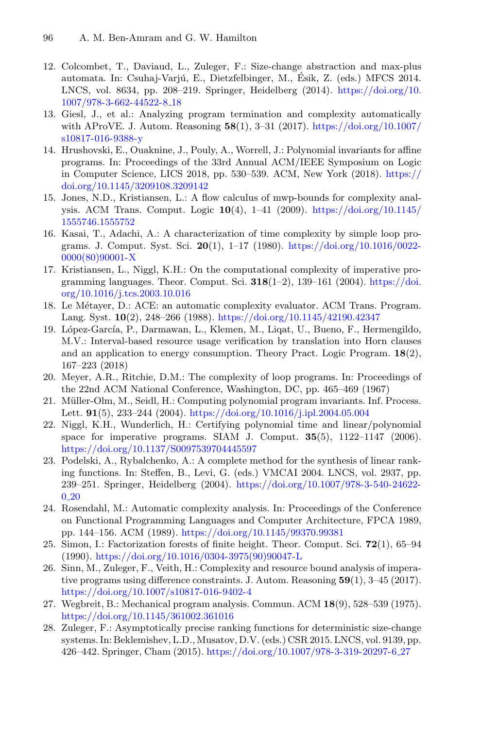- <span id="page-16-12"></span>12. Colcombet, T., Daviaud, L., Zuleger, F.: Size-change abstraction and max-plus automata. In: Csuhaj-Varjú, E., Dietzfelbinger, M., Ésik, Z. (eds.) MFCS 2014. LNCS, vol. 8634, pp. 208–219. Springer, Heidelberg (2014). [https://doi.org/10.](https://doi.org/10.1007/978-3-662-44522-8_18) [1007/978-3-662-44522-8](https://doi.org/10.1007/978-3-662-44522-8_18) 18
- <span id="page-16-0"></span>13. Giesl, J., et al.: Analyzing program termination and complexity automatically with AProVE. J. Autom. Reasoning **58**(1), 3–31 (2017). [https://doi.org/10.1007/](https://doi.org/10.1007/s10817-016-9388-y) [s10817-016-9388-y](https://doi.org/10.1007/s10817-016-9388-y)
- <span id="page-16-14"></span>14. Hrushovski, E., Ouaknine, J., Pouly, A., Worrell, J.: Polynomial invariants for affine programs. In: Proceedings of the 33rd Annual ACM/IEEE Symposium on Logic in Computer Science, LICS 2018, pp. 530–539. ACM, New York (2018). [https://](https://doi.org/10.1145/3209108.3209142) [doi.org/10.1145/3209108.3209142](https://doi.org/10.1145/3209108.3209142)
- <span id="page-16-9"></span>15. Jones, N.D., Kristiansen, L.: A flow calculus of mwp-bounds for complexity analysis. ACM Trans. Comput. Logic **10**(4), 1–41 (2009). [https://doi.org/10.1145/](https://doi.org/10.1145/1555746.1555752) [1555746.1555752](https://doi.org/10.1145/1555746.1555752)
- 16. Kasai, T., Adachi, A.: A characterization of time complexity by simple loop programs. J. Comput. Syst. Sci. **20**(1), 1–17 (1980). [https://doi.org/10.1016/0022-](https://doi.org/10.1016/0022-0000(80)90001-X) [0000\(80\)90001-X](https://doi.org/10.1016/0022-0000(80)90001-X)
- <span id="page-16-10"></span>17. Kristiansen, L., Niggl, K.H.: On the computational complexity of imperative programming languages. Theor. Comput. Sci.  $318(1-2)$ ,  $139-161$  (2004). [https://doi.](https://doi.org/10.1016/j.tcs.2003.10.016) [org/10.1016/j.tcs.2003.10.016](https://doi.org/10.1016/j.tcs.2003.10.016)
- <span id="page-16-1"></span>18. Le Métayer, D.: ACE: an automatic complexity evaluator. ACM Trans. Program. Lang. Syst. **10**(2), 248–266 (1988). <https://doi.org/10.1145/42190.42347>
- <span id="page-16-2"></span>19. López-García, P., Darmawan, L., Klemen, M., Liqat, U., Bueno, F., Hermengildo, M.V.: Interval-based resource usage verification by translation into Horn clauses and an application to energy consumption. Theory Pract. Logic Program. **18**(2), 167–223 (2018)
- <span id="page-16-7"></span>20. Meyer, A.R., Ritchie, D.M.: The complexity of loop programs. In: Proceedings of the 22nd ACM National Conference, Washington, DC, pp. 465–469 (1967)
- <span id="page-16-15"></span>21. Müller-Olm, M., Seidl, H.: Computing polynomial program invariants. Inf. Process. Lett. **91**(5), 233–244 (2004). <https://doi.org/10.1016/j.ipl.2004.05.004>
- <span id="page-16-11"></span>22. Niggl, K.H., Wunderlich, H.: Certifying polynomial time and linear/polynomial space for imperative programs. SIAM J. Comput. **35**(5), 1122–1147 (2006). <https://doi.org/10.1137/S0097539704445597>
- <span id="page-16-6"></span>23. Podelski, A., Rybalchenko, A.: A complete method for the synthesis of linear ranking functions. In: Steffen, B., Levi, G. (eds.) VMCAI 2004. LNCS, vol. 2937, pp. 239–251. Springer, Heidelberg (2004). [https://doi.org/10.1007/978-3-540-24622-](https://doi.org/10.1007/978-3-540-24622-0_20) 0 [20](https://doi.org/10.1007/978-3-540-24622-0_20)
- <span id="page-16-3"></span>24. Rosendahl, M.: Automatic complexity analysis. In: Proceedings of the Conference on Functional Programming Languages and Computer Architecture, FPCA 1989, pp. 144–156. ACM (1989). <https://doi.org/10.1145/99370.99381>
- <span id="page-16-8"></span>25. Simon, I.: Factorization forests of finite height. Theor. Comput. Sci. **72**(1), 65–94 (1990). [https://doi.org/10.1016/0304-3975\(90\)90047-L](https://doi.org/10.1016/0304-3975(90)90047-L)
- <span id="page-16-4"></span>26. Sinn, M., Zuleger, F., Veith, H.: Complexity and resource bound analysis of imperative programs using difference constraints. J. Autom. Reasoning **59**(1), 3–45 (2017). <https://doi.org/10.1007/s10817-016-9402-4>
- <span id="page-16-5"></span>27. Wegbreit, B.: Mechanical program analysis. Commun. ACM **18**(9), 528–539 (1975). <https://doi.org/10.1145/361002.361016>
- <span id="page-16-13"></span>28. Zuleger, F.: Asymptotically precise ranking functions for deterministic size-change systems. In: Beklemishev, L.D., Musatov, D.V. (eds.) CSR 2015. LNCS, vol. 9139, pp. 426–442. Springer, Cham (2015). [https://doi.org/10.1007/978-3-319-20297-6](https://doi.org/10.1007/978-3-319-20297-6_27) 27